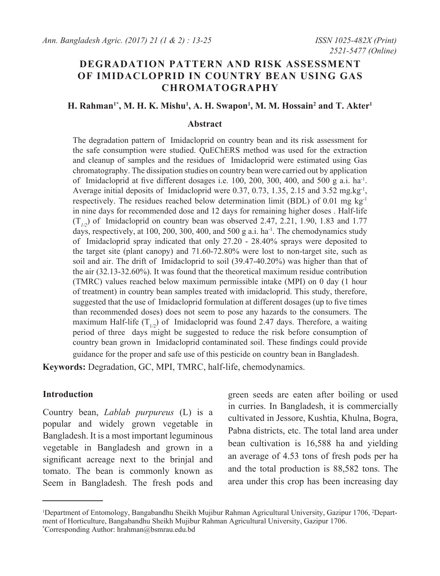# **DEGRADATION PATTERN AND RISK ASSESSMENT OF IMIDACLOPRID IN COUNTRY BEAN USING GAS CHROMATOGRAPHY**

### **H. Rahman<sup>1\*</sup>, M. H. K. Mishu<sup>1</sup>, A. H. Swapon<sup>1</sup>, M. M. Hossain<sup>2</sup> and T. Akter<sup>1</sup>**

#### **Abstract**

The degradation pattern of Imidacloprid on country bean and its risk assessment for the safe consumption were studied. QuEChERS method was used for the extraction and cleanup of samples and the residues of Imidacloprid were estimated using Gas chromatography. The dissipation studies on country bean were carried out by application of Imidacloprid at five different dosages i.e. 100, 200, 300, 400, and 500 g a.i. ha-1. Average initial deposits of Imidacloprid were 0.37, 0.73, 1.35, 2.15 and 3.52 mg.kg<sup>-1</sup>, respectively. The residues reached below determination limit (BDL) of 0.01 mg  $kg<sup>-1</sup>$ in nine days for recommended dose and 12 days for remaining higher doses . Half-life  $(T_{1/2})$  of Imidacloprid on country bean was observed 2.47, 2.21, 1.90, 1.83 and 1.77 days, respectively, at 100, 200, 300, 400, and 500 g a.i. ha<sup>-1</sup>. The chemodynamics study of Imidacloprid spray indicated that only 27.20 - 28.40% sprays were deposited to the target site (plant canopy) and 71.60-72.80% were lost to non-target site, such as soil and air. The drift of Imidacloprid to soil (39.47-40.20%) was higher than that of the air (32.13-32.60%). It was found that the theoretical maximum residue contribution (TMRC) values reached below maximum permissible intake (MPI) on 0 day (1 hour of treatment) in country bean samples treated with imidacloprid. This study, therefore, suggested that the use of Imidacloprid formulation at different dosages (up to five times than recommended doses) does not seem to pose any hazards to the consumers. The maximum Half-life  $(T_{1/2})$  of Imidacloprid was found 2.47 days. Therefore, a waiting period of three days might be suggested to reduce the risk before consumption of country bean grown in Imidacloprid contaminated soil. These findings could provide guidance for the proper and safe use of this pesticide on country bean in Bangladesh.

**Keywords:** Degradation, GC, MPI, TMRC, half-life, chemodynamics.

#### **Introduction**

Country bean, *Lablab purpureus* (L) is a popular and widely grown vegetable in Bangladesh. It is a most important leguminous vegetable in Bangladesh and grown in a significant acreage next to the brinjal and tomato. The bean is commonly known as Seem in Bangladesh. The fresh pods and green seeds are eaten after boiling or used in curries. In Bangladesh, it is commercially cultivated in Jessore, Kushtia, Khulna, Bogra, Pabna districts, etc. The total land area under bean cultivation is 16,588 ha and yielding an average of 4.53 tons of fresh pods per ha and the total production is 88,582 tons. The area under this crop has been increasing day

<sup>1</sup> Department of Entomology, Bangabandhu Sheikh Mujibur Rahman Agricultural University, Gazipur 1706, 2 Department of Horticulture, Bangabandhu Sheikh Mujibur Rahman Agricultural University, Gazipur 1706. \* Corresponding Author: hrahman@bsmrau.edu.bd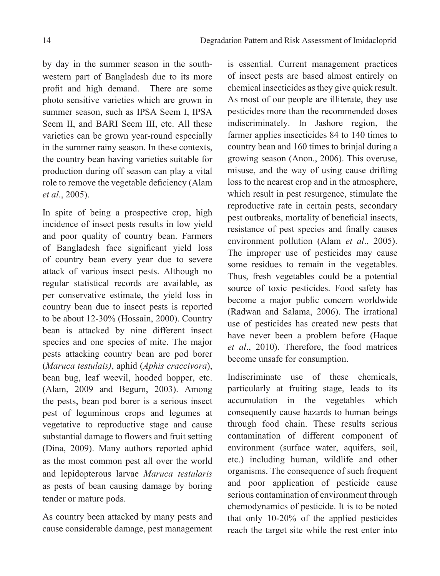by day in the summer season in the southwestern part of Bangladesh due to its more profit and high demand. There are some photo sensitive varieties which are grown in summer season, such as IPSA Seem I, IPSA Seem II, and BARI Seem III, etc. All these varieties can be grown year-round especially in the summer rainy season. In these contexts, the country bean having varieties suitable for production during off season can play a vital role to remove the vegetable deficiency (Alam *et al*., 2005).

In spite of being a prospective crop, high incidence of insect pests results in low yield and poor quality of country bean. Farmers of Bangladesh face significant yield loss of country bean every year due to severe attack of various insect pests. Although no regular statistical records are available, as per conservative estimate, the yield loss in country bean due to insect pests is reported to be about 12-30% (Hossain, 2000). Country bean is attacked by nine different insect species and one species of mite. The major pests attacking country bean are pod borer (*Maruca testulais)*, aphid (*Aphis craccivora*), bean bug, leaf weevil, hooded hopper, etc. (Alam, 2009 and Begum, 2003). Among the pests, bean pod borer is a serious insect pest of leguminous crops and legumes at vegetative to reproductive stage and cause substantial damage to flowers and fruit setting (Dina, 2009). Many authors reported aphid as the most common pest all over the world and lepidopterous larvae *Maruca testularis* as pests of bean causing damage by boring tender or mature pods.

As country been attacked by many pests and cause considerable damage, pest management

is essential. Current management practices of insect pests are based almost entirely on chemical insecticides as they give quick result. As most of our people are illiterate, they use pesticides more than the recommended doses indiscriminately. In Jashore region, the farmer applies insecticides 84 to 140 times to country bean and 160 times to brinjal during a growing season (Anon., 2006). This overuse, misuse, and the way of using cause drifting loss to the nearest crop and in the atmosphere, which result in pest resurgence, stimulate the reproductive rate in certain pests, secondary pest outbreaks, mortality of beneficial insects, resistance of pest species and finally causes environment pollution (Alam *et al*., 2005). The improper use of pesticides may cause some residues to remain in the vegetables. Thus, fresh vegetables could be a potential source of toxic pesticides. Food safety has become a major public concern worldwide (Radwan and Salama, 2006). The irrational use of pesticides has created new pests that have never been a problem before (Haque *et al*., 2010). Therefore, the food matrices become unsafe for consumption.

Indiscriminate use of these chemicals, particularly at fruiting stage, leads to its accumulation in the vegetables which consequently cause hazards to human beings through food chain. These results serious contamination of different component of environment (surface water, aquifers, soil, etc.) including human, wildlife and other organisms. The consequence of such frequent and poor application of pesticide cause serious contamination of environment through chemodynamics of pesticide. It is to be noted that only 10-20% of the applied pesticides reach the target site while the rest enter into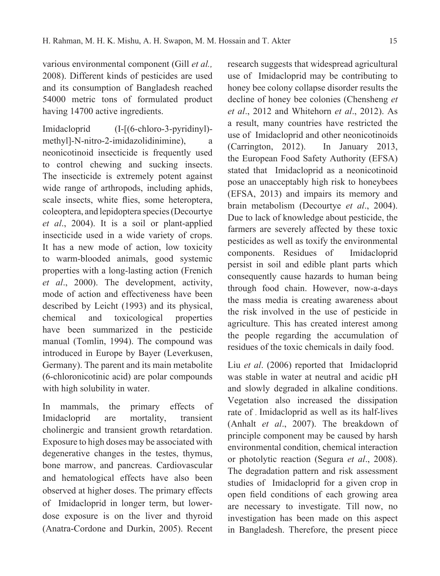various environmental component (Gill *et al.,*  2008). Different kinds of pesticides are used and its consumption of Bangladesh reached 54000 metric tons of formulated product having 14700 active ingredients.

Imidacloprid (I-[(6-chloro-3-pyridinyl) methyl]-N-nitro-2-imidazolidinimine), a neonicotinoid insecticide is frequently used to control chewing and sucking insects. The insecticide is extremely potent against wide range of arthropods, including aphids, scale insects, white flies, some heteroptera, coleoptera, and lepidoptera species (Decourtye *et al*., 2004). It is a soil or plant-applied insecticide used in a wide variety of crops. It has a new mode of action, low toxicity to warm-blooded animals, good systemic properties with a long-lasting action (Frenich *et al*., 2000). The development, activity, mode of action and effectiveness have been described by Leicht (1993) and its physical, chemical and toxicological properties have been summarized in the pesticide manual (Tomlin, 1994). The compound was introduced in Europe by Bayer (Leverkusen, Germany). The parent and its main metabolite (6-chloronicotinic acid) are polar compounds with high solubility in water.

In mammals, the primary effects of Imidacloprid are mortality, transient cholinergic and transient growth retardation. Exposure to high doses may be associated with degenerative changes in the testes, thymus, bone marrow, and pancreas. Cardiovascular and hematological effects have also been observed at higher doses. The primary effects of Imidacloprid in longer term, but lowerdose exposure is on the liver and thyroid (Anatra-Cordone and Durkin, 2005). Recent

research suggests that widespread agricultural use of Imidacloprid may be contributing to honey bee colony collapse disorder results the decline of honey bee colonies (Chensheng *et et al*., 2012 and Whitehorn *et al*., 2012). As a result, many countries have restricted the use of Imidacloprid and other neonicotinoids (Carrington, 2012). In January 2013, the European Food Safety Authority (EFSA) stated that Imidacloprid as a neonicotinoid pose an unacceptably high risk to honeybees (EFSA, 2013) and impairs its memory and brain metabolism (Decourtye *et al*., 2004). Due to lack of knowledge about pesticide, the farmers are severely affected by these toxic pesticides as well as toxify the environmental components. Residues of Imidacloprid persist in soil and edible plant parts which consequently cause hazards to human being through food chain. However, now-a-days the mass media is creating awareness about the risk involved in the use of pesticide in agriculture. This has created interest among the people regarding the accumulation of residues of the toxic chemicals in daily food.

Liu *et al*. (2006) reported that Imidacloprid was stable in water at neutral and acidic pH and slowly degraded in alkaline conditions. Vegetation also increased the dissipation rate of Imidacloprid as well as its half-lives (Anhalt *et al*., 2007). The breakdown of principle component may be caused by harsh environmental condition, chemical interaction or photolytic reaction (Segura *et al*., 2008). The degradation pattern and risk assessment studies of Imidacloprid for a given crop in open field conditions of each growing area are necessary to investigate. Till now, no investigation has been made on this aspect in Bangladesh. Therefore, the present piece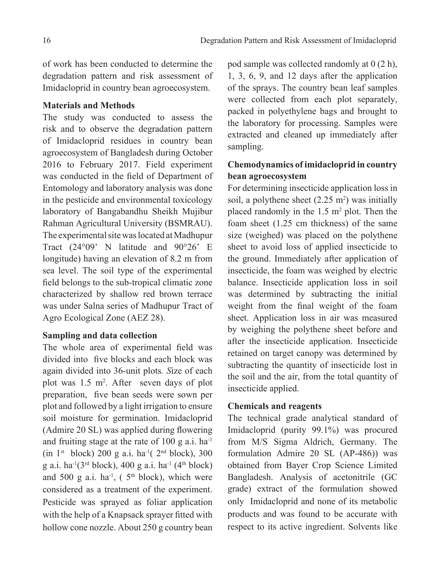of work has been conducted to determine the degradation pattern and risk assessment of Imidacloprid in country bean agroecosystem.

#### **Materials and Methods**

The study was conducted to assess the risk and to observe the degradation pattern of Imidacloprid residues in country bean agroecosystem of Bangladesh during October 2016 to February 2017. Field experiment was conducted in the field of Department of Entomology and laboratory analysis was done in the pesticide and environmental toxicology laboratory of Bangabandhu Sheikh Mujibur Rahman Agricultural University (BSMRAU). The experimental site was located at Madhupur Tract (24°09' N latitude and 90°26' E longitude) having an elevation of 8.2 m from sea level. The soil type of the experimental field belongs to the sub-tropical climatic zone characterized by shallow red brown terrace was under Salna series of Madhupur Tract of Agro Ecological Zone (AEZ 28).

### **Sampling and data collection**

The whole area of experimental field was divided into five blocks and each block was again divided into 36-unit plots*. S*ize of each plot was 1.5 m2 . After seven days of plot preparation, five bean seeds were sown per plot and followed by a light irrigation to ensure soil moisture for germination. Imidacloprid (Admire 20 SL) was applied during flowering and fruiting stage at the rate of 100 g a.i. ha-1 (in  $1<sup>st</sup>$  block) 200 g a.i. ha<sup>-1</sup>( $2<sup>nd</sup>$  block), 300 g a.i. ha<sup>-1</sup>(3<sup>rd</sup> block), 400 g a.i. ha<sup>-1</sup> (4<sup>th</sup> block) and 500 g a.i.  $ha^{-1}$ , (5<sup>th</sup> block), which were considered as a treatment of the experiment. Pesticide was sprayed as foliar application with the help of a Knapsack sprayer fitted with hollow cone nozzle. About 250 g country bean

pod sample was collected randomly at 0 (2 h), 1, 3, 6, 9, and 12 days after the application of the sprays. The country bean leaf samples were collected from each plot separately, packed in polyethylene bags and brought to the laboratory for processing. Samples were extracted and cleaned up immediately after sampling.

## **Chemodynamics of imidacloprid in country bean agroecosystem**

For determining insecticide application loss in soil, a polythene sheet  $(2.25 \text{ m}^2)$  was initially placed randomly in the  $1.5 \text{ m}^2$  plot. Then the foam sheet (1.25 cm thickness) of the same size (weighed) was placed on the polythene sheet to avoid loss of applied insecticide to the ground. Immediately after application of insecticide, the foam was weighed by electric balance. Insecticide application loss in soil was determined by subtracting the initial weight from the final weight of the foam sheet. Application loss in air was measured by weighing the polythene sheet before and after the insecticide application. Insecticide retained on target canopy was determined by subtracting the quantity of insecticide lost in the soil and the air, from the total quantity of insecticide applied.

### **Chemicals and reagents**

The technical grade analytical standard of Imidacloprid (purity 99.1%) was procured from M/S Sigma Aldrich, Germany. The formulation Admire 20 SL (AP-486)) was obtained from Bayer Crop Science Limited Bangladesh. Analysis of acetonitrile (GC grade) extract of the formulation showed only Imidacloprid and none of its metabolic products and was found to be accurate with respect to its active ingredient. Solvents like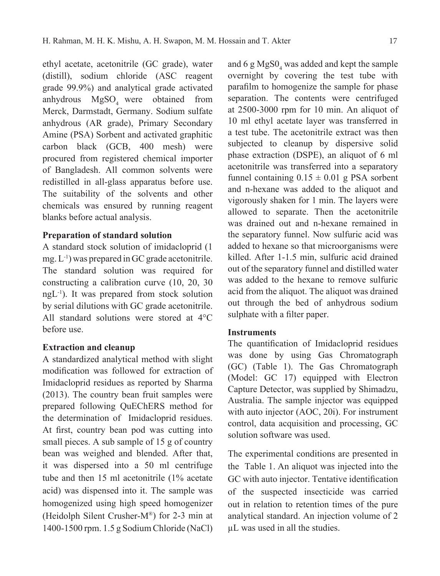ethyl acetate, acetonitrile (GC grade), water (distill), sodium chloride (ASC reagent grade 99.9%) and analytical grade activated anhydrous MgSO<sub>4</sub> were obtained from Merck, Darmstadt, Germany. Sodium sulfate anhydrous (AR grade), Primary Secondary Amine (PSA) Sorbent and activated graphitic carbon black (GCB, 400 mesh) were procured from registered chemical importer of Bangladesh. All common solvents were redistilled in all-glass apparatus before use. The suitability of the solvents and other chemicals was ensured by running reagent blanks before actual analysis.

#### **Preparation of standard solution**

A standard stock solution of imidacloprid (1 mg.  $L^{-1}$ ) was prepared in GC grade acetonitrile. The standard solution was required for constructing a calibration curve (10, 20, 30 ngL-1). It was prepared from stock solution by serial dilutions with GC grade acetonitrile. All standard solutions were stored at 4°C before use.

### **Extraction and cleanup**

A standardized analytical method with slight modification was followed for extraction of Imidacloprid residues as reported by Sharma (2013). The country bean fruit samples were prepared following QuEChERS method for the determination of Imidacloprid residues. At first, country bean pod was cutting into small pieces. A sub sample of 15 g of country bean was weighed and blended. After that, it was dispersed into a 50 ml centrifuge tube and then 15 ml acetonitrile (1% acetate acid) was dispensed into it. The sample was homogenized using high speed homogenizer (Heidolph Silent Crusher-M®) for 2-3 min at 1400-1500 rpm. 1.5 g Sodium Chloride (NaCl)

and 6  $g\text{MgSO}_4$  was added and kept the sample overnight by covering the test tube with parafilm to homogenize the sample for phase separation. The contents were centrifuged at 2500-3000 rpm for 10 min. An aliquot of 10 ml ethyl acetate layer was transferred in a test tube. The acetonitrile extract was then subjected to cleanup by dispersive solid phase extraction (DSPE), an aliquot of 6 ml acetonitrile was transferred into a separatory funnel containing  $0.15 \pm 0.01$  g PSA sorbent and n-hexane was added to the aliquot and vigorously shaken for 1 min. The layers were allowed to separate. Then the acetonitrile was drained out and n-hexane remained in the separatory funnel. Now sulfuric acid was added to hexane so that microorganisms were killed. After 1-1.5 min, sulfuric acid drained out of the separatory funnel and distilled water was added to the hexane to remove sulfuric acid from the aliquot. The aliquot was drained out through the bed of anhydrous sodium sulphate with a filter paper.

#### **Instruments**

The quantification of Imidacloprid residues was done by using Gas Chromatograph (GC) (Table 1). The Gas Chromatograph (Model: GC 17) equipped with Electron Capture Detector, was supplied by Shimadzu, Australia. The sample injector was equipped with auto injector (AOC, 20i). For instrument control, data acquisition and processing, GC solution software was used.

The experimental conditions are presented in the Table 1. An aliquot was injected into the GC with auto injector. Tentative identification of the suspected insecticide was carried out in relation to retention times of the pure analytical standard. An injection volume of 2 µL was used in all the studies.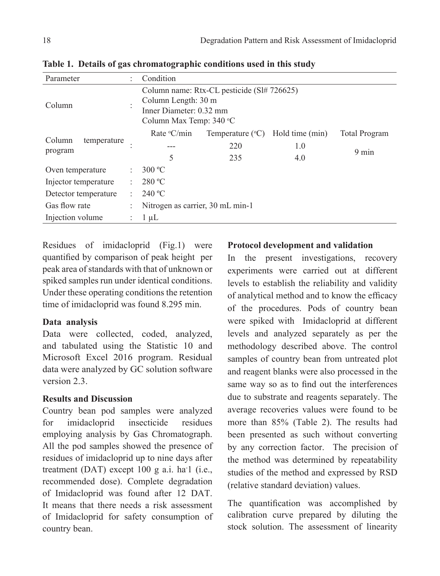| Parameter                                         |  | Condition                                                                                                               |                           |                 |                      |  |  |  |
|---------------------------------------------------|--|-------------------------------------------------------------------------------------------------------------------------|---------------------------|-----------------|----------------------|--|--|--|
| Column                                            |  | Column name: Rtx-CL pesticide (SI# 726625)<br>Column Length: 30 m<br>Inner Diameter: 0.32 mm<br>Column Max Temp: 340 °C |                           |                 |                      |  |  |  |
|                                                   |  | Rate $\mathrm{C/min}$                                                                                                   | Temperature $(^{\circ}C)$ | Hold time (min) | <b>Total Program</b> |  |  |  |
| Column<br>temperature<br>program                  |  |                                                                                                                         | 220                       | 1.0             | $9 \text{ min}$      |  |  |  |
|                                                   |  | 5                                                                                                                       | 235                       | 4.0             |                      |  |  |  |
| Oven temperature                                  |  | $300 \degree C$                                                                                                         |                           |                 |                      |  |  |  |
| Injector temperature                              |  | 280 °C                                                                                                                  |                           |                 |                      |  |  |  |
| Detector temperature                              |  | 240 °C                                                                                                                  |                           |                 |                      |  |  |  |
| Gas flow rate<br>Nitrogen as carrier, 30 mL min-1 |  |                                                                                                                         |                           |                 |                      |  |  |  |
| Injection volume                                  |  | $1 \mu L$                                                                                                               |                           |                 |                      |  |  |  |

**Table 1. Details of gas chromatographic conditions used in this study**

Residues of imidacloprid (Fig.1) were quantified by comparison of peak height per peak area of standards with that of unknown or spiked samples run under identical conditions. Under these operating conditions the retention time of imidacloprid was found 8.295 min.

## **Data analysis**

Data were collected, coded, analyzed, and tabulated using the Statistic 10 and Microsoft Excel 2016 program. Residual data were analyzed by GC solution software version 2.3.

## **Results and Discussion**

Country bean pod samples were analyzed for imidacloprid insecticide residues employing analysis by Gas Chromatograph. All the pod samples showed the presence of residues of imidacloprid up to nine days after treatment (DAT) except 100 g a.i. ha<sup>-1</sup> (i.e., recommended dose). Complete degradation of Imidacloprid was found after 12 DAT. It means that there needs a risk assessment of Imidacloprid for safety consumption of country bean.

## **Protocol development and validation**

In the present investigations, recovery experiments were carried out at different levels to establish the reliability and validity of analytical method and to know the efficacy of the procedures. Pods of country bean were spiked with Imidacloprid at different levels and analyzed separately as per the methodology described above. The control samples of country bean from untreated plot and reagent blanks were also processed in the same way so as to find out the interferences due to substrate and reagents separately. The average recoveries values were found to be more than 85% (Table 2). The results had been presented as such without converting by any correction factor. The precision of the method was determined by repeatability studies of the method and expressed by RSD (relative standard deviation) values.

The quantification was accomplished by calibration curve prepared by diluting the stock solution. The assessment of linearity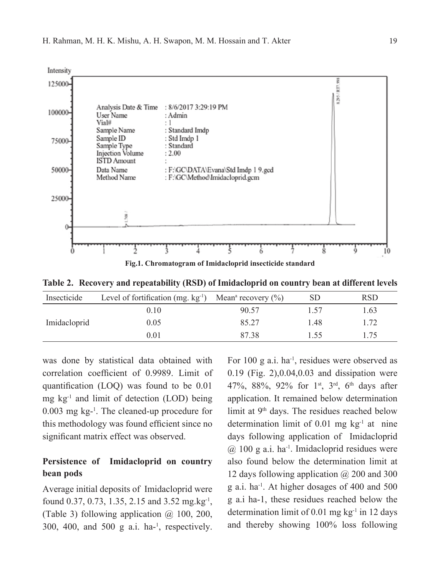

**Table 2. Recovery and repeatability (RSD) of Imidacloprid on country bean at different levels**

| Insecticide  | Level of fortification (mg. kg <sup>-1</sup> ) Mean <sup>a</sup> recovery $(\%)$ |       | SD   | <b>RSD</b> |
|--------------|----------------------------------------------------------------------------------|-------|------|------------|
|              | 0.10                                                                             | 90.57 | 1.57 | 1.63       |
| Imidacloprid | 0.05                                                                             | 85.27 | 1.48 | 1.72       |
|              | 0.01                                                                             | 87.38 | 1.55 | 175        |

was done by statistical data obtained with correlation coefficient of 0.9989. Limit of quantification (LOQ) was found to be 0.01 mg  $kg<sup>-1</sup>$  and limit of detection (LOD) being 0.003 mg kg-1 . The cleaned-up procedure for this methodology was found efficient since no significant matrix effect was observed.

## **Persistence of Imidacloprid on country bean pods**

Average initial deposits of Imidacloprid were found 0.37, 0.73, 1.35, 2.15 and 3.52 mg.kg-1, (Table 3) following application  $\omega$  100, 200,  $300$ ,  $400$ , and  $500$  g a.i. ha-<sup>1</sup>, respectively.

For 100 g a.i.  $ha^{-1}$ , residues were observed as 0.19 (Fig. 2),0.04,0.03 and dissipation were 47%, 88%, 92% for 1st, 3rd, 6th days after application. It remained below determination limit at 9th days. The residues reached below determination limit of  $0.01$  mg kg<sup>-1</sup> at nine days following application of Imidacloprid  $(a)$  100 g a.i. ha<sup>-1</sup>. Imidacloprid residues were also found below the determination limit at 12 days following application @ 200 and 300 g a.i. ha-1. At higher dosages of 400 and 500 g a.i ha-1, these residues reached below the determination limit of 0.01 mg  $kg<sup>-1</sup>$  in 12 days and thereby showing 100% loss following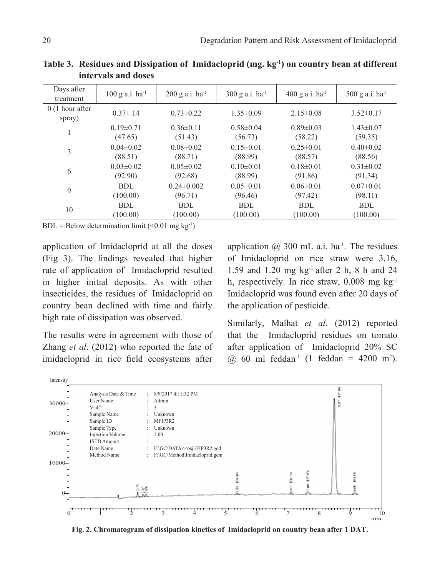| Days after<br>treatment    | $100$ g a.i. ha <sup>-1</sup> | $200$ g a.i. ha <sup>-1</sup> | $300$ g a.i. ha <sup>-1</sup> | $400$ g a.i. ha <sup>-1</sup> | 500 g a.i. $ha^{-1}$ |
|----------------------------|-------------------------------|-------------------------------|-------------------------------|-------------------------------|----------------------|
| $0(1$ hour after<br>spray) | $0.37 \pm 14$                 | $0.73 \pm 0.22$               | $1.35\pm0.09$                 | $2.15\pm0.08$                 | $3.52 \pm 0.17$      |
| 1                          | $0.19 \pm 0.71$               | $0.36 \pm 0.11$               | $0.58 \pm 0.04$               | $0.89 \pm 0.03$               | $1.43 \pm 0.07$      |
|                            | (47.65)                       | (51.43)                       | (56.73)                       | (58.22)                       | (59.35)              |
| 3                          | $0.04 \pm 0.02$               | $0.08 \pm 0.02$               | $0.15 \pm 0.01$               | $0.25 \pm 0.01$               | $0.40 \pm 0.02$      |
|                            | (88.51)                       | (88.71)                       | (88.99)                       | (88.57)                       | (88.56)              |
|                            | $0.03 \pm 0.02$               | $0.05 \pm 0.02$               | $0.10 \pm 0.01$               | $0.18 \pm 0.01$               | $0.31 \pm 0.02$      |
| 6                          | (92.90)                       | (92.68)                       | (88.99)                       | (91.86)                       | (91.34)              |
| 9                          | BDL                           | $0.24 \pm 0.002$              | $0.05 \pm 0.01$               | $0.06 \pm 0.01$               | $0.07\pm0.01$        |
|                            | (100.00)                      | (96.71)                       | (96.46)                       | (97.42)                       | (98.11)              |
| 10                         | BDL                           | BDL                           | BDL                           | BDL                           | BDL                  |
|                            | (100.00)                      | (100.00)                      | (100.00)                      | (100.00)                      | (100.00)             |

Table 3. Residues and Dissipation of Imidacloprid (mg. kg<sup>-1</sup>) on country bean at different **intervals and doses**

 $BDL =$  Below determination limit (<0.01 mg kg<sup>-1</sup>)

application of Imidacloprid at all the doses (Fig 3). The findings revealed that higher rate of application of Imidacloprid resulted in higher initial deposits. As with other insecticides, the residues of Imidacloprid on country bean declined with time and fairly high rate of dissipation was observed.

The results were in agreement with those of Zhang *et al*. (2012) who reported the fate of imidacloprid in rice field ecosystems after

application  $\omega$  300 mL a.i. ha<sup>-1</sup>. The residues of Imidacloprid on rice straw were 3.16, 1.59 and 1.20 mg kg-1 after 2 h, 8 h and 24 h, respectively. In rice straw,  $0.008$  mg kg<sup>-1</sup> Imidacloprid was found even after 20 days of the application of pesticide.

Similarly, Malhat *et al*. (2012) reported that the Imidacloprid residues on tomato after application of Imidacloprid 20% SC @ 60 ml feddan-1 (1 feddan = 4200 m2 ).



**Fig. 2. Chromatogram of dissipation kinetics of Imidacloprid on country bean after 1 DAT.**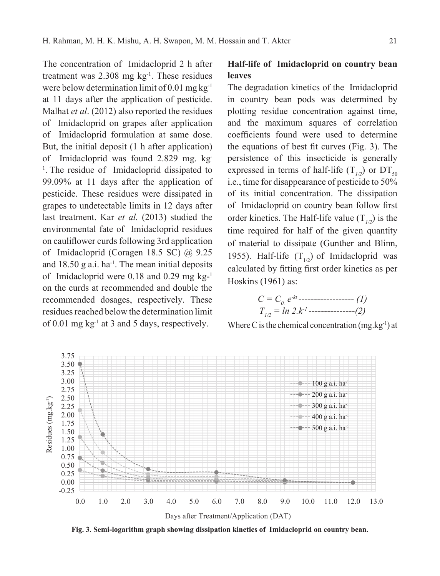The concentration of Imidacloprid 2 h after treatment was  $2.308$  mg kg<sup>-1</sup>. These residues were below determination limit of 0.01 mg kg-1 at 11 days after the application of pesticide. Malhat *et al*. (2012) also reported the residues of Imidacloprid on grapes after application of Imidacloprid formulation at same dose. But, the initial deposit (1 h after application) of Imidacloprid was found 2.829 mg. kg-<sup>1</sup>. The residue of Imidacloprid dissipated to 99.09% at 11 days after the application of pesticide. These residues were dissipated in grapes to undetectable limits in 12 days after last treatment. Kar *et al.* (2013) studied the environmental fate of Imidacloprid residues on cauliflower curds following 3rd application of Imidacloprid (Coragen 18.5 SC) @ 9.25 and  $18.50$  g a.i. ha<sup>-1</sup>. The mean initial deposits of Imidacloprid were 0.18 and 0.29 mg kg-1 on the curds at recommended and double the recommended dosages, respectively. These residues reached below the determination limit of 0.01 mg kg-1 at 3 and 5 days, respectively.

## **Half-life of Imidacloprid on country bean leaves**

The degradation kinetics of the Imidacloprid in country bean pods was determined by plotting residue concentration against time, and the maximum squares of correlation coefficients found were used to determine the equations of best fit curves (Fig. 3). The persistence of this insecticide is generally expressed in terms of half-life  $(T_{1/2})$  or  $DT_{50}$ i.e., time for disappearance of pesticide to 50% of its initial concentration. The dissipation of Imidacloprid on country bean follow first order kinetics. The Half-life value  $(T_{1/2})$  is the time required for half of the given quantity of material to dissipate (Gunther and Blinn, 1955). Half-life  $(T_{1/2})$  of Imidacloprid was calculated by fitting first order kinetics as per Hoskins (1961) as:

$$
C = C_0 e^{kt}
$$
  
\n
$$
T_{1/2} = \ln 2 \cdot k^{t}
$$
  
\n
$$
T_{1/2} = \ln 2 \cdot k^{t}
$$

Where C is the chemical concentration  $(mg.kg^{-1})$  at



**Fig. 3. Semi-logarithm graph showing dissipation kinetics of Imidacloprid on country bean.**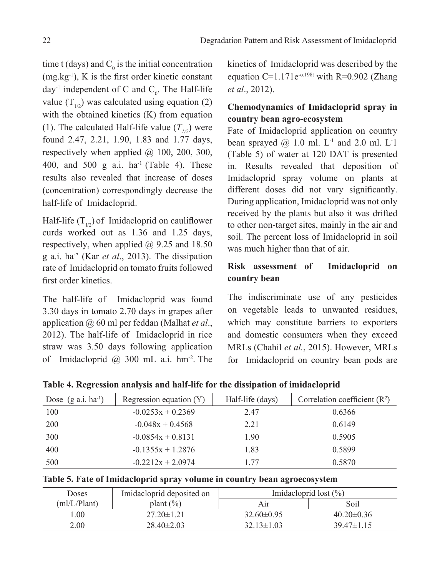time t (days) and  $C_0$  is the initial concentration (mg.kg-1), K is the first order kinetic constant day<sup>-1</sup> independent of C and  $C_0$ . The Half-life value  $(T_{1/2})$  was calculated using equation (2) with the obtained kinetics (K) from equation (1). The calculated Half-life value  $(T_{1/2})$  were found 2.47, 2.21, 1.90, 1.83 and 1.77 days, respectively when applied  $(a)$  100, 200, 300, 400, and 500 g a.i.  $ha^{-1}$  (Table 4). These results also revealed that increase of doses (concentration) correspondingly decrease the half-life of Imidacloprid.

Half-life  $(T_{1/2})$  of Imidacloprid on cauliflower curds worked out as 1.36 and 1.25 days, respectively, when applied  $(a)$  9.25 and 18.50 g a.i. ha- ' (Kar *et al*., 2013). The dissipation rate of Imidacloprid on tomato fruits followed first order kinetics.

The half-life of Imidacloprid was found 3.30 days in tomato 2.70 days in grapes after application @ 60 ml per feddan (Malhat *et al*., 2012). The half-life of Imidacloprid in rice straw was 3.50 days following application of Imidacloprid  $\omega$  300 mL a.i. hm<sup>-2</sup>. The

kinetics of Imidacloprid was described by the equation C=1.171 $e^{-0.198t}$  with R=0.902 (Zhang *et al*., 2012).

# **Chemodynamics of Imidacloprid spray in country bean agro-ecosystem**

Fate of Imidacloprid application on country bean sprayed  $@1.0$  ml.  $L^{-1}$  and 2.0 ml.  $L^{-1}$ (Table 5) of water at 120 DAT is presented in. Results revealed that deposition of Imidacloprid spray volume on plants at different doses did not vary significantly. During application, Imidacloprid was not only received by the plants but also it was drifted to other non-target sites, mainly in the air and soil. The percent loss of Imidacloprid in soil was much higher than that of air.

## **Risk assessment of Imidacloprid on country bean**

The indiscriminate use of any pesticides on vegetable leads to unwanted residues, which may constitute barriers to exporters and domestic consumers when they exceed MRLs (Chahil *et al.*, 2015). However, MRLs for Imidacloprid on country bean pods are

**Table 4. Regression analysis and half-life for the dissipation of imidacloprid**

| Dose $(g \text{ a.i.} ha^{-1})$ | Regression equation $(Y)$ | Half-life (days) | Correlation coefficient $(R2)$ |
|---------------------------------|---------------------------|------------------|--------------------------------|
| 100                             | $-0.0253x + 0.2369$       | 2.47             | 0.6366                         |
| 200                             | $-0.048x + 0.4568$        | 2.21             | 0.6149                         |
| 300                             | $-0.0854x + 0.8131$       | 1.90             | 0.5905                         |
| 400                             | $-0.1355x + 1.2876$       | 1.83             | 0.5899                         |
| 500                             | $-0.2212x + 2.0974$       | 177              | 0.5870                         |

|  |  |  |  |  | Table 5. Fate of Imidacloprid spray volume in country bean agroecosystem |
|--|--|--|--|--|--------------------------------------------------------------------------|
|--|--|--|--|--|--------------------------------------------------------------------------|

| Doses        | Imidacloprid deposited on | Imidacloprid lost $(\% )$ |                  |  |  |
|--------------|---------------------------|---------------------------|------------------|--|--|
| (ml/L/Plant) | plant $(\% )$             |                           | Soil             |  |  |
| LOO.         | $27.20 \pm 1.21$          | $32.60\pm0.95$            | $40.20 \pm 0.36$ |  |  |
| 2.00         | $28.40\pm2.03$            | $32.13 \pm 1.03$          | $39.47\pm1.15$   |  |  |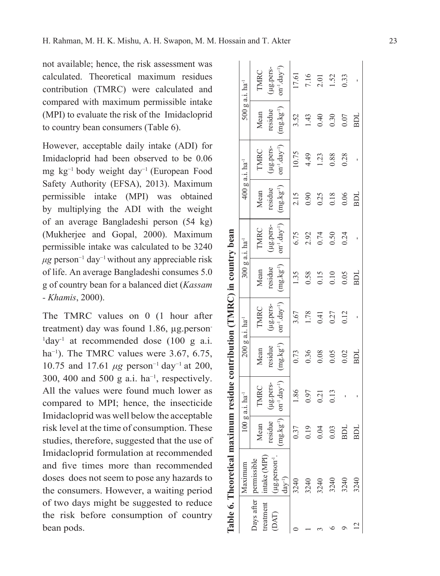not available; hence, the risk assessment was calculated. Theoretical maximum residues contribution (TMRC) were calculated and compared with maximum permissible intake (MPI) to evaluate the risk of the Imidacloprid to country bean consumers (Table 6).

However, acceptable daily intake (ADI) for Imidacloprid had been observed to be 0.06 mg kg−1 body weight day−1 (European Food Safety Authority (EFSA), 2013). Maximum permissible intake (MPI) was obtained by multiplying the ADI with the weight of an average Bangladeshi person (54 kg) (Mukherjee and Gopal, 2000). Maximum permissible intake was calculated to be 3240  $\mu$ g person<sup>-1</sup> day<sup>-1</sup> without any appreciable risk of life. An average Bangladeshi consumes 5.0 g of country bean for a balanced diet (*Kassam - Khamis*, 2000).

The TMRC values on 0 (1 hour after treatment) day was found 1.86, ug.person-<sup>1</sup>day<sup>-1</sup> at recommended dose (100 g a.i. ha<sup>-1</sup>). The TMRC values were 3.67, 6.75, 10.75 and 17.61 *μg* person<sup>-1</sup> day<sup>-1</sup> at 200, 300, 400 and 500 g a.i. ha<sup>-1</sup>, respectively. All the values were found much lower as compared to MPI; hence, the insecticide Imidacloprid was well below the acceptable risk level at the time of consumption. These studies, therefore, suggested that the use of Imidacloprid formulation at recommended and five times more than recommended doses does not seem to pose any hazards to the consumers. However, a waiting period of two days might be suggested to reduce the risk before consumption of country bean pods.

| Table 6. Theoretical maximum residue contribution (TMRC) in country bean | 500 g a.i. ha <sup>-1</sup><br>400 g a.i. ha <sup>-1</sup><br>300 g a.i. ha <sup>-1</sup> | TMRC<br>Mean<br>TMRC<br>Mean<br>TMRC<br>Mean<br>TMRC | (µg.pers-<br>residue<br>(µg.pers-<br>residue<br>ug.pers-<br>residue | $\text{on}^{-1} \text{.day}^{-1}$<br>$(mg.kg^{-1})$<br>$\text{on}^{-1}.\text{day}^{-1}$<br>$(mg.kg^{-1})$<br>$on^{-1}.day^{-1})$<br>$(mg.kg^{-1})$ | 17.61<br>3.52<br>10.75<br>2.15<br>6.75<br>1.35<br>3.67 | 7.16<br>1.43<br>4.49<br>0.90<br>2.92<br>0.58<br>1.78 | 2.01<br>0.40<br>1.23<br>0.25<br>0.74<br>0.15<br>0.41 | 1.52<br>0.30<br>0.88<br>0.18<br>0.50<br>0.10<br>0.27 | 0.33<br>0.07<br>0.28<br>0.06<br>0.24<br>0.05<br>0.12 | BDL<br>BDL<br>ВDI |
|--------------------------------------------------------------------------|-------------------------------------------------------------------------------------------|------------------------------------------------------|---------------------------------------------------------------------|----------------------------------------------------------------------------------------------------------------------------------------------------|--------------------------------------------------------|------------------------------------------------------|------------------------------------------------------|------------------------------------------------------|------------------------------------------------------|-------------------|
|                                                                          |                                                                                           |                                                      |                                                                     |                                                                                                                                                    |                                                        |                                                      |                                                      |                                                      |                                                      |                   |
|                                                                          |                                                                                           |                                                      |                                                                     |                                                                                                                                                    |                                                        |                                                      |                                                      |                                                      |                                                      |                   |
|                                                                          |                                                                                           |                                                      | (µg.pers-                                                           | $\text{on}^{-1} \text{.day}^{-1}$                                                                                                                  |                                                        |                                                      |                                                      |                                                      |                                                      |                   |
|                                                                          | 200 g a.i. ha <sup>-1</sup>                                                               | Mean                                                 | residue                                                             | $(mg.kg^{-1})$                                                                                                                                     | 0.73                                                   | 0.36                                                 | 0.08                                                 | 0.05                                                 | 0.02                                                 | BDL               |
|                                                                          | $100$ g a.i. ha <sup>-1</sup>                                                             | TMRC                                                 | (µg.pers-                                                           | $on^{-1}.day^{-1})$                                                                                                                                | 1.86                                                   | 0.97                                                 | 0.21                                                 | 0.13                                                 |                                                      |                   |
|                                                                          |                                                                                           | Mean                                                 | esidue                                                              | $ng.kg-1$ )                                                                                                                                        | 0.37                                                   | 0.19                                                 | 0.04                                                 | 0.03                                                 | BDL                                                  | BDL               |
|                                                                          | Maximum                                                                                   | treatment   intake (MPI)<br>Days after   permissible | [µg.person <sup>-1</sup> ]                                          | $day^{-1}$                                                                                                                                         | 3240                                                   | 3240                                                 | 3240                                                 | 3240                                                 | 3240                                                 | 3240              |
|                                                                          |                                                                                           |                                                      | (DAT)                                                               |                                                                                                                                                    |                                                        |                                                      |                                                      |                                                      |                                                      |                   |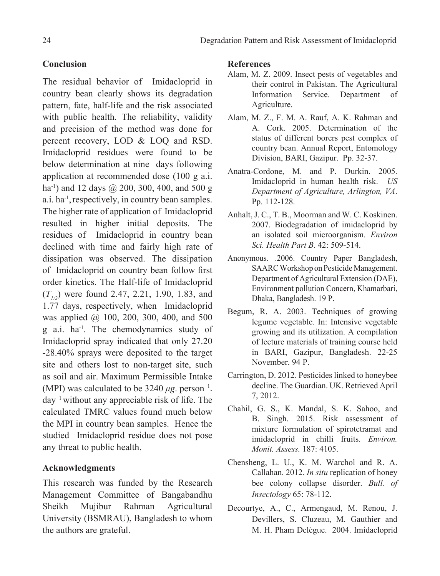## **Conclusion**

The residual behavior of Imidacloprid in country bean clearly shows its degradation pattern, fate, half-life and the risk associated with public health. The reliability, validity and precision of the method was done for percent recovery, LOD & LOQ and RSD. Imidacloprid residues were found to be below determination at nine days following application at recommended dose (100 g a.i. ha<sup>-1</sup>) and 12 days @ 200, 300, 400, and 500 g a.i. ha<sup>-1</sup>, respectively, in country bean samples. The higher rate of application of Imidacloprid resulted in higher initial deposits. The residues of Imidacloprid in country bean declined with time and fairly high rate of dissipation was observed. The dissipation of Imidacloprid on country bean follow first order kinetics. The Half-life of Imidacloprid  $(T_{1/2})$  were found 2.47, 2.21, 1.90, 1.83, and 1.77 days, respectively, when Imidacloprid was applied @ 100, 200, 300, 400, and 500 g a.i. ha-1. The chemodynamics study of Imidacloprid spray indicated that only 27.20 -28.40% sprays were deposited to the target site and others lost to non-target site, such as soil and air. Maximum Permissible Intake (MPI) was calculated to be  $3240 \mu$ g. person<sup>-1</sup>. day−1 without any appreciable risk of life. The calculated TMRC values found much below the MPI in country bean samples. Hence the studied Imidacloprid residue does not pose any threat to public health.

## **Acknowledgments**

This research was funded by the Research Management Committee of Bangabandhu Sheikh Mujibur Rahman Agricultural University (BSMRAU), Bangladesh to whom the authors are grateful.

## **References**

- Alam, M. Z. 2009. Insect pests of vegetables and their control in Pakistan. The Agricultural Information Service. Department of Agriculture.
- Alam, M. Z., F. M. A. Rauf, A. K. Rahman and A. Cork. 2005. Determination of the status of different borers pest complex of country bean. Annual Report, Entomology Division, BARI, Gazipur. Pp. 32-37.
- Anatra-Cordone, M. and P. Durkin. 2005. Imidacloprid in human health risk. *US Department of Agriculture, Arlington, VA*. Pp. 112-128.
- Anhalt, J. C., T. B., Moorman and W. C. Koskinen. 2007. Biodegradation of imidacloprid by an isolated soil microorganism. *Environ Sci. Health Part B*. 42: 509-514.
- Anonymous. .2006. Country Paper Bangladesh, SAARC Workshop on Pesticide Management. Department of Agricultural Extension (DAE), Environment pollution Concern, Khamarbari, Dhaka, Bangladesh. 19 P.
- Begum, R. A. 2003. Techniques of growing legume vegetable. In: Intensive vegetable growing and its utilization. A compilation of lecture materials of training course held in BARI, Gazipur, Bangladesh. 22-25 November. 94 P.
- Carrington, D. 2012. Pesticides linked to honeybee decline. The Guardian. UK. Retrieved April 7, 2012.
- Chahil, G. S., K. Mandal, S. K. Sahoo, and B. Singh. 2015. Risk assessment of mixture formulation of spirotetramat and imidacloprid in chilli fruits. *Environ. Monit. Assess.* 187: 4105.
- Chensheng, L. U., K. M. Warchol and R. A. Callahan. 2012. *In situ* replication of honey bee colony collapse disorder. *Bull. of Insectology* 65: 78-112.
- Decourtye, A., C., Armengaud, M. Renou, J. Devillers, S. Cluzeau, M. Gauthier and M. H. Pham Delègue. 2004. Imidacloprid